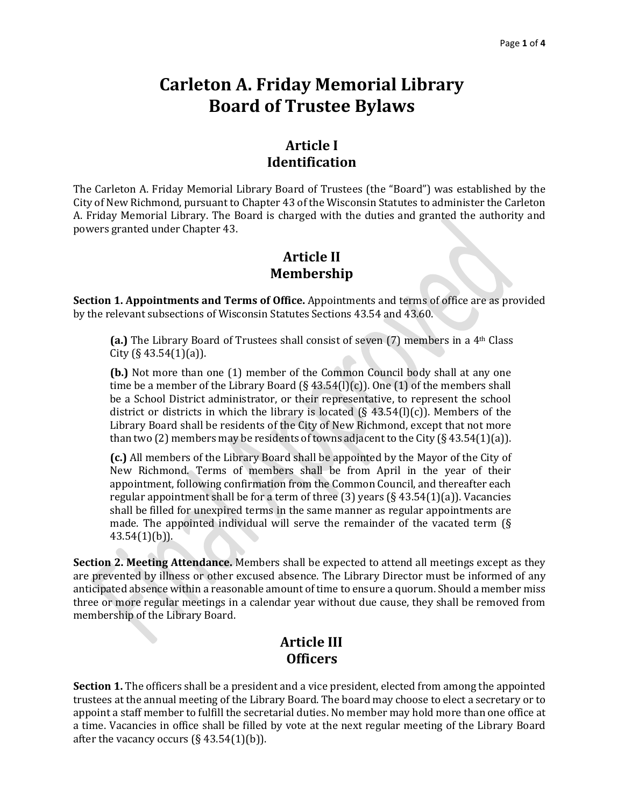# **Carleton A. Friday Memorial Library Board of Trustee Bylaws**

### **Article I Identification**

The Carleton A. Friday Memorial Library Board of Trustees (the "Board") was established by the City of New Richmond, pursuant to Chapter 43 of the Wisconsin Statutes to administer the Carleton A. Friday Memorial Library. The Board is charged with the duties and granted the authority and powers granted under Chapter 43.

### **Article II Membership**

**Section 1. Appointments and Terms of Office.** Appointments and terms of office are as provided by the relevant subsections of Wisconsin Statutes Sections 43.54 and 43.60.

**(a.)** The Library Board of Trustees shall consist of seven (7) members in a 4th Class City (§ 43.54 $(1)(a)$ ).

**(b.)** Not more than one (1) member of the Common Council body shall at any one time be a member of the Library Board (§ 43.54(l)(c)). One (1) of the members shall be a School District administrator, or their representative, to represent the school district or districts in which the library is located ( $\S$  43.54(l)(c)). Members of the Library Board shall be residents of the City of New Richmond, except that not more than two (2) members may be residents of towns adjacent to the City ( $\S$  43.54(1)(a)).

**(c.)** All members of the Library Board shall be appointed by the Mayor of the City of New Richmond. Terms of members shall be from April in the year of their appointment, following confirmation from the Common Council, and thereafter each regular appointment shall be for a term of three  $(3)$  years  $(§ 43.54(1)(a))$ . Vacancies shall be filled for unexpired terms in the same manner as regular appointments are made. The appointed individual will serve the remainder of the vacated term (§ 43.54(1)(b)).

**Section 2. Meeting Attendance.** Members shall be expected to attend all meetings except as they are prevented by illness or other excused absence. The Library Director must be informed of any anticipated absence within a reasonable amount of time to ensure a quorum. Should a member miss three or more regular meetings in a calendar year without due cause, they shall be removed from membership of the Library Board.

### **Article III Officers**

**Section 1.** The officers shall be a president and a vice president, elected from among the appointed trustees at the annual meeting of the Library Board. The board may choose to elect a secretary or to appoint a staff member to fulfill the secretarial duties. No member may hold more than one office at a time. Vacancies in office shall be filled by vote at the next regular meeting of the Library Board after the vacancy occurs  $(\S 43.54(1)(b))$ .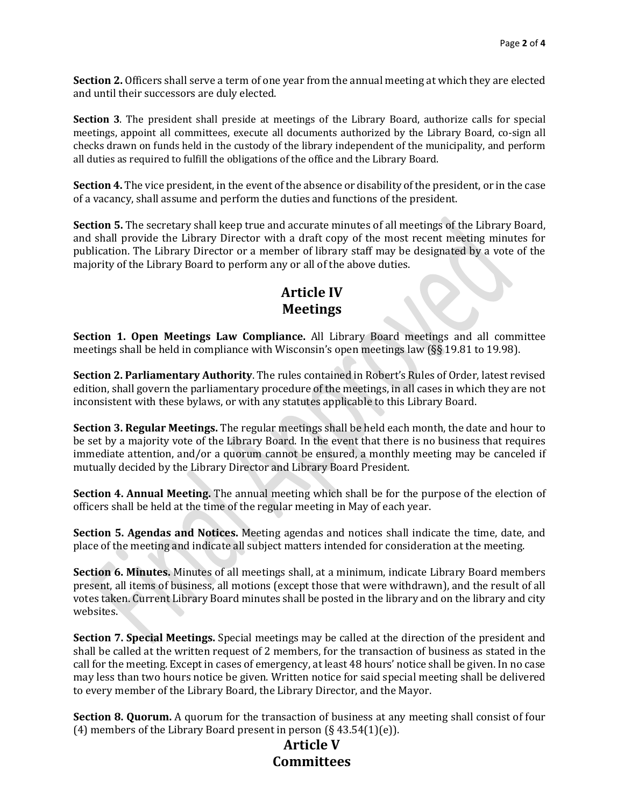**Section 2.** Officers shall serve a term of one year from the annual meeting at which they are elected and until their successors are duly elected.

**Section 3**. The president shall preside at meetings of the Library Board, authorize calls for special meetings, appoint all committees, execute all documents authorized by the Library Board, co-sign all checks drawn on funds held in the custody of the library independent of the municipality, and perform all duties as required to fulfill the obligations of the office and the Library Board.

**Section 4.** The vice president, in the event of the absence or disability of the president, or in the case of a vacancy, shall assume and perform the duties and functions of the president.

**Section 5.** The secretary shall keep true and accurate minutes of all meetings of the Library Board, and shall provide the Library Director with a draft copy of the most recent meeting minutes for publication. The Library Director or a member of library staff may be designated by a vote of the majority of the Library Board to perform any or all of the above duties.

### **Article IV Meetings**

**Section 1. Open Meetings Law Compliance.** All Library Board meetings and all committee meetings shall be held in compliance with Wisconsin's open meetings law (§§ 19.81 to 19.98).

**Section 2. Parliamentary Authority**. The rules contained in Robert's Rules of Order, latest revised edition, shall govern the parliamentary procedure of the meetings, in all cases in which they are not inconsistent with these bylaws, or with any statutes applicable to this Library Board.

**Section 3. Regular Meetings.** The regular meetings shall be held each month, the date and hour to be set by a majority vote of the Library Board. In the event that there is no business that requires immediate attention, and/or a quorum cannot be ensured, a monthly meeting may be canceled if mutually decided by the Library Director and Library Board President.

**Section 4. Annual Meeting.** The annual meeting which shall be for the purpose of the election of officers shall be held at the time of the regular meeting in May of each year.

**Section 5. Agendas and Notices.** Meeting agendas and notices shall indicate the time, date, and place of the meeting and indicate all subject matters intended for consideration at the meeting.

**Section 6. Minutes.** Minutes of all meetings shall, at a minimum, indicate Library Board members present, all items of business, all motions (except those that were withdrawn), and the result of all votes taken. Current Library Board minutes shall be posted in the library and on the library and city websites.

**Section 7. Special Meetings.** Special meetings may be called at the direction of the president and shall be called at the written request of 2 members, for the transaction of business as stated in the call for the meeting. Except in cases of emergency, at least 48 hours' notice shall be given. In no case may less than two hours notice be given. Written notice for said special meeting shall be delivered to every member of the Library Board, the Library Director, and the Mayor.

**Section 8. Quorum.** A quorum for the transaction of business at any meeting shall consist of four (4) members of the Library Board present in person  $(\S 43.54(1)(e))$ .

## **Article V Committees**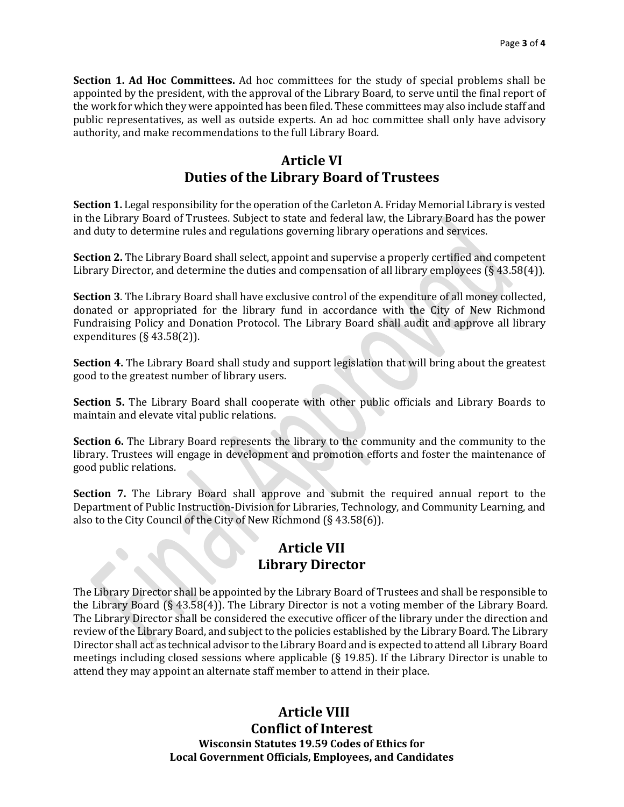**Section 1. Ad Hoc Committees.** Ad hoc committees for the study of special problems shall be appointed by the president, with the approval of the Library Board, to serve until the final report of the work for which they were appointed has been filed. These committees may also include staff and public representatives, as well as outside experts. An ad hoc committee shall only have advisory authority, and make recommendations to the full Library Board.

### **Article VI Duties of the Library Board of Trustees**

**Section 1.** Legal responsibility for the operation of the Carleton A. Friday Memorial Library is vested in the Library Board of Trustees. Subject to state and federal law, the Library Board has the power and duty to determine rules and regulations governing library operations and services.

**Section 2.** The Library Board shall select, appoint and supervise a properly certified and competent Library Director, and determine the duties and compensation of all library employees (§ 43.58(4)).

**Section 3**. The Library Board shall have exclusive control of the expenditure of all money collected, donated or appropriated for the library fund in accordance with the City of New Richmond Fundraising Policy and Donation Protocol. The Library Board shall audit and approve all library expenditures (§ 43.58(2)).

**Section 4.** The Library Board shall study and support legislation that will bring about the greatest good to the greatest number of library users.

**Section 5.** The Library Board shall cooperate with other public officials and Library Boards to maintain and elevate vital public relations.

**Section 6.** The Library Board represents the library to the community and the community to the library. Trustees will engage in development and promotion efforts and foster the maintenance of good public relations.

**Section 7.** The Library Board shall approve and submit the required annual report to the Department of Public Instruction-Division for Libraries, Technology, and Community Learning, and also to the City Council of the City of New Richmond (§ 43.58(6)).

### **Article VII Library Director**

The Library Director shall be appointed by the Library Board of Trustees and shall be responsible to the Library Board (§ 43.58(4)). The Library Director is not a voting member of the Library Board. The Library Director shall be considered the executive officer of the library under the direction and review of the Library Board, and subject to the policies established by the Library Board. The Library Director shall act as technical advisor to the Library Board and is expected to attend all Library Board meetings including closed sessions where applicable (§ 19.85). If the Library Director is unable to attend they may appoint an alternate staff member to attend in their place.

#### **Article VIII Conflict of Interest Wisconsin Statutes 19.59 Codes of Ethics for Local Government Officials, Employees, and Candidates**